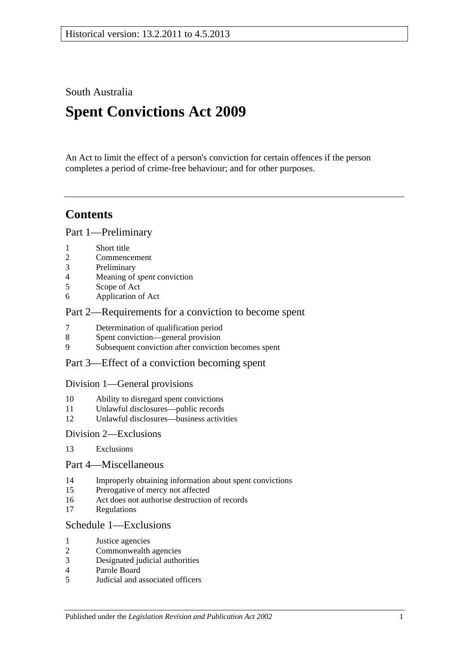South Australia

# **Spent Convictions Act 2009**

An Act to limit the effect of a person's conviction for certain offences if the person completes a period of crime-free behaviour; and for other purposes.

## **Contents**

[Part 1—Preliminary](#page-1-0)

- [Short title](#page-1-1)
- [Commencement](#page-1-2)
- [Preliminary](#page-1-3)
- [Meaning of](#page-5-0) *spent* conviction
- [Scope of Act](#page-6-0)
- [Application of Act](#page-6-1)

### [Part 2—Requirements for a conviction to become spent](#page-7-0)

- [Determination of qualification period](#page-7-1)
- [Spent conviction—general provision](#page-8-0)
- [Subsequent conviction after conviction becomes spent](#page-8-1)
- [Part 3—Effect of a conviction becoming spent](#page-8-2)

### [Division 1—General provisions](#page-8-3)

- [Ability to disregard spent convictions](#page-8-4)
- [Unlawful disclosures—public records](#page-9-0)
- [Unlawful disclosures—business activities](#page-9-1)

### [Division 2—Exclusions](#page-10-0)

[Exclusions](#page-10-1)

### [Part 4—Miscellaneous](#page-10-2)

- [Improperly obtaining information about spent convictions](#page-10-3)
- [Prerogative of mercy not affected](#page-10-4)
- [Act does not authorise destruction of records](#page-10-5)
- [Regulations](#page-10-6)

### [Schedule 1—Exclusions](#page-10-7)

- [Justice agencies](#page-10-8)
- [Commonwealth agencies](#page-11-0)
- [Designated judicial authorities](#page-11-1)
- [Parole Board](#page-11-2)
- [Judicial and associated officers](#page-12-0)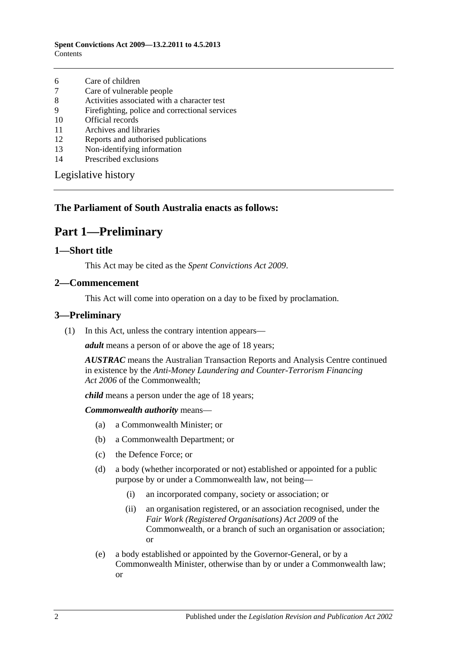- 6 [Care of children](#page-12-1)
- 7 [Care of vulnerable people](#page-12-2)
- 8 [Activities associated with a character test](#page-13-0)
- 9 [Firefighting, police and correctional services](#page-13-1)
- 10 [Official records](#page-14-0)
- 11 [Archives and libraries](#page-14-1)
- 12 [Reports and authorised publications](#page-14-2)
- 13 [Non-identifying information](#page-14-3)
- 14 [Prescribed exclusions](#page-14-4)

[Legislative history](#page-15-0)

### <span id="page-1-0"></span>**The Parliament of South Australia enacts as follows:**

## **Part 1—Preliminary**

### <span id="page-1-1"></span>**1—Short title**

This Act may be cited as the *Spent Convictions Act 2009*.

#### <span id="page-1-2"></span>**2—Commencement**

This Act will come into operation on a day to be fixed by proclamation.

### <span id="page-1-4"></span><span id="page-1-3"></span>**3—Preliminary**

(1) In this Act, unless the contrary intention appears—

*adult* means a person of or above the age of 18 years;

*AUSTRAC* means the Australian Transaction Reports and Analysis Centre continued in existence by the *Anti-Money Laundering and Counter-Terrorism Financing Act 2006* of the Commonwealth;

*child* means a person under the age of 18 years;

*Commonwealth authority* means—

- (a) a Commonwealth Minister; or
- (b) a Commonwealth Department; or
- (c) the Defence Force; or
- (d) a body (whether incorporated or not) established or appointed for a public purpose by or under a Commonwealth law, not being—
	- (i) an incorporated company, society or association; or
	- (ii) an organisation registered, or an association recognised, under the *Fair Work (Registered Organisations) Act 2009* of the Commonwealth, or a branch of such an organisation or association; or
- (e) a body established or appointed by the Governor-General, or by a Commonwealth Minister, otherwise than by or under a Commonwealth law; or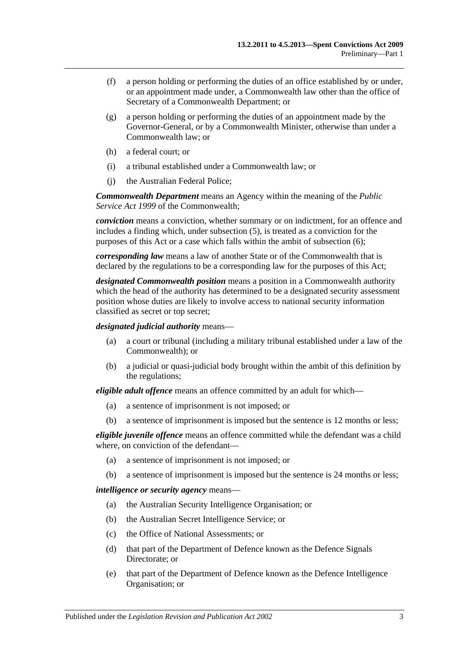- (f) a person holding or performing the duties of an office established by or under, or an appointment made under, a Commonwealth law other than the office of Secretary of a Commonwealth Department; or
- (g) a person holding or performing the duties of an appointment made by the Governor-General, or by a Commonwealth Minister, otherwise than under a Commonwealth law; or
- (h) a federal court; or
- (i) a tribunal established under a Commonwealth law; or
- (j) the Australian Federal Police;

*Commonwealth Department* means an Agency within the meaning of the *Public Service Act 1999* of the Commonwealth;

*conviction* means a conviction, whether summary or on indictment, for an offence and includes a finding which, under [subsection](#page-5-1) (5), is treated as a conviction for the purposes of this Act or a case which falls within the ambit of [subsection](#page-5-2) (6);

*corresponding law* means a law of another State or of the Commonwealth that is declared by the regulations to be a corresponding law for the purposes of this Act;

*designated Commonwealth position* means a position in a Commonwealth authority which the head of the authority has determined to be a designated security assessment position whose duties are likely to involve access to national security information classified as secret or top secret;

*designated judicial authority* means—

- (a) a court or tribunal (including a military tribunal established under a law of the Commonwealth); or
- (b) a judicial or quasi-judicial body brought within the ambit of this definition by the regulations;

*eligible adult offence* means an offence committed by an adult for which—

- (a) a sentence of imprisonment is not imposed; or
- (b) a sentence of imprisonment is imposed but the sentence is 12 months or less;

*eligible juvenile offence* means an offence committed while the defendant was a child where, on conviction of the defendant—

- (a) a sentence of imprisonment is not imposed; or
- (b) a sentence of imprisonment is imposed but the sentence is 24 months or less;

*intelligence or security agency* means—

- (a) the Australian Security Intelligence Organisation; or
- (b) the Australian Secret Intelligence Service; or
- (c) the Office of National Assessments; or
- (d) that part of the Department of Defence known as the Defence Signals Directorate; or
- (e) that part of the Department of Defence known as the Defence Intelligence Organisation; or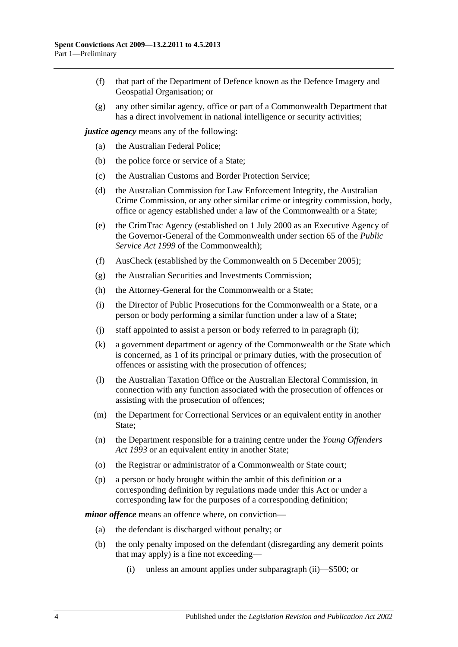- (f) that part of the Department of Defence known as the Defence Imagery and Geospatial Organisation; or
- (g) any other similar agency, office or part of a Commonwealth Department that has a direct involvement in national intelligence or security activities;

*justice agency* means any of the following:

- (a) the Australian Federal Police;
- (b) the police force or service of a State;
- (c) the Australian Customs and Border Protection Service;
- (d) the Australian Commission for Law Enforcement Integrity, the Australian Crime Commission, or any other similar crime or integrity commission, body, office or agency established under a law of the Commonwealth or a State;
- (e) the CrimTrac Agency (established on 1 July 2000 as an Executive Agency of the Governor-General of the Commonwealth under section 65 of the *Public Service Act 1999* of the Commonwealth);
- (f) AusCheck (established by the Commonwealth on 5 December 2005);
- (g) the Australian Securities and Investments Commission;
- <span id="page-3-0"></span>(h) the Attorney-General for the Commonwealth or a State;
- (i) the Director of Public Prosecutions for the Commonwealth or a State, or a person or body performing a similar function under a law of a State;
- (j) staff appointed to assist a person or body referred to in [paragraph](#page-3-0) (i);
- (k) a government department or agency of the Commonwealth or the State which is concerned, as 1 of its principal or primary duties, with the prosecution of offences or assisting with the prosecution of offences;
- (l) the Australian Taxation Office or the Australian Electoral Commission, in connection with any function associated with the prosecution of offences or assisting with the prosecution of offences;
- (m) the Department for Correctional Services or an equivalent entity in another State;
- (n) the Department responsible for a training centre under the *[Young Offenders](http://www.legislation.sa.gov.au/index.aspx?action=legref&type=act&legtitle=Young%20Offenders%20Act%201993)  Act [1993](http://www.legislation.sa.gov.au/index.aspx?action=legref&type=act&legtitle=Young%20Offenders%20Act%201993)* or an equivalent entity in another State;
- (o) the Registrar or administrator of a Commonwealth or State court;
- (p) a person or body brought within the ambit of this definition or a corresponding definition by regulations made under this Act or under a corresponding law for the purposes of a corresponding definition;

*minor offence* means an offence where, on conviction—

- (a) the defendant is discharged without penalty; or
- (b) the only penalty imposed on the defendant (disregarding any demerit points that may apply) is a fine not exceeding—
	- (i) unless an amount applies under [subparagraph](#page-4-0) (ii)—\$500; or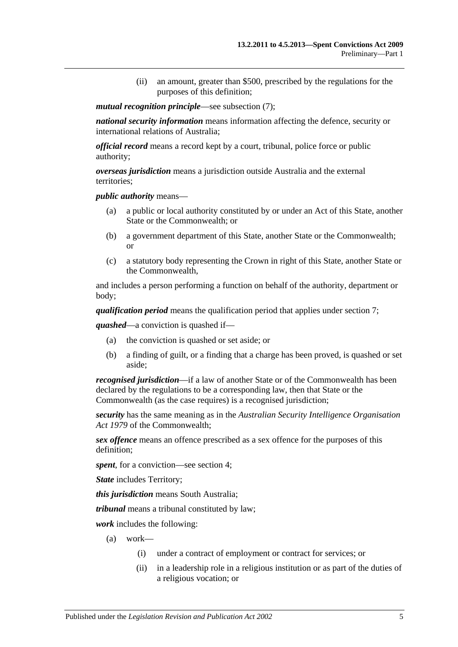(ii) an amount, greater than \$500, prescribed by the regulations for the purposes of this definition;

#### <span id="page-4-0"></span>*mutual recognition principle*—see [subsection](#page-5-3) (7);

*national security information* means information affecting the defence, security or international relations of Australia;

*official record* means a record kept by a court, tribunal, police force or public authority;

*overseas jurisdiction* means a jurisdiction outside Australia and the external territories;

*public authority* means—

- (a) a public or local authority constituted by or under an Act of this State, another State or the Commonwealth; or
- (b) a government department of this State, another State or the Commonwealth; or
- (c) a statutory body representing the Crown in right of this State, another State or the Commonwealth,

and includes a person performing a function on behalf of the authority, department or body;

*qualification period* means the qualification period that applies under [section](#page-7-1) 7;

*quashed*—a conviction is quashed if—

- (a) the conviction is quashed or set aside; or
- (b) a finding of guilt, or a finding that a charge has been proved, is quashed or set aside;

*recognised jurisdiction*—if a law of another State or of the Commonwealth has been declared by the regulations to be a corresponding law, then that State or the Commonwealth (as the case requires) is a recognised jurisdiction;

*security* has the same meaning as in the *Australian Security Intelligence Organisation Act 1979* of the Commonwealth;

*sex offence* means an offence prescribed as a sex offence for the purposes of this definition;

*spent*, for a conviction—see [section](#page-5-0) 4;

*State* includes Territory;

*this jurisdiction* means South Australia;

*tribunal* means a tribunal constituted by law;

*work* includes the following:

- (a) work—
	- (i) under a contract of employment or contract for services; or
	- (ii) in a leadership role in a religious institution or as part of the duties of a religious vocation; or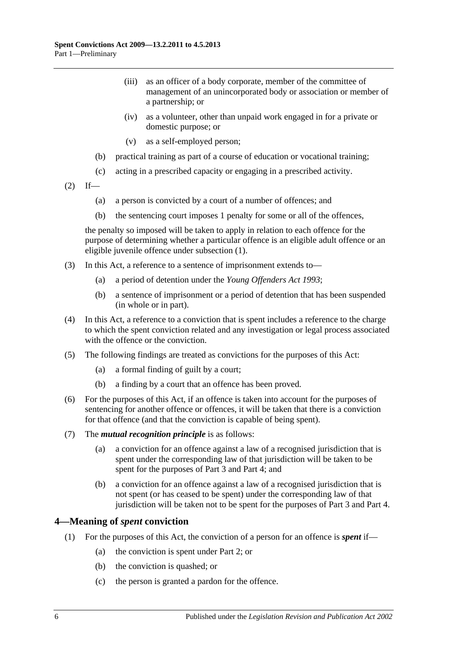- (iii) as an officer of a body corporate, member of the committee of management of an unincorporated body or association or member of a partnership; or
- (iv) as a volunteer, other than unpaid work engaged in for a private or domestic purpose; or
- (v) as a self-employed person;
- (b) practical training as part of a course of education or vocational training;
- (c) acting in a prescribed capacity or engaging in a prescribed activity.
- $(2)$  If—
	- (a) a person is convicted by a court of a number of offences; and
	- (b) the sentencing court imposes 1 penalty for some or all of the offences,

the penalty so imposed will be taken to apply in relation to each offence for the purpose of determining whether a particular offence is an eligible adult offence or an eligible juvenile offence under [subsection](#page-1-4) (1).

- (3) In this Act, a reference to a sentence of imprisonment extends to—
	- (a) a period of detention under the *[Young Offenders Act](http://www.legislation.sa.gov.au/index.aspx?action=legref&type=act&legtitle=Young%20Offenders%20Act%201993) 1993*;
	- (b) a sentence of imprisonment or a period of detention that has been suspended (in whole or in part).
- (4) In this Act, a reference to a conviction that is spent includes a reference to the charge to which the spent conviction related and any investigation or legal process associated with the offence or the conviction.
- <span id="page-5-1"></span>(5) The following findings are treated as convictions for the purposes of this Act:
	- (a) a formal finding of guilt by a court;
	- (b) a finding by a court that an offence has been proved.
- <span id="page-5-2"></span>(6) For the purposes of this Act, if an offence is taken into account for the purposes of sentencing for another offence or offences, it will be taken that there is a conviction for that offence (and that the conviction is capable of being spent).
- <span id="page-5-3"></span>(7) The *mutual recognition principle* is as follows:
	- (a) a conviction for an offence against a law of a recognised jurisdiction that is spent under the corresponding law of that jurisdiction will be taken to be spent for the purposes of [Part 3](#page-8-2) and [Part 4;](#page-10-2) and
	- (b) a conviction for an offence against a law of a recognised jurisdiction that is not spent (or has ceased to be spent) under the corresponding law of that jurisdiction will be taken not to be spent for the purposes of [Part 3](#page-8-2) and [Part 4.](#page-10-2)

### <span id="page-5-0"></span>**4—Meaning of** *spent* **conviction**

- (1) For the purposes of this Act, the conviction of a person for an offence is *spent* if—
	- (a) the conviction is spent under [Part 2;](#page-7-0) or
	- (b) the conviction is quashed; or
	- (c) the person is granted a pardon for the offence.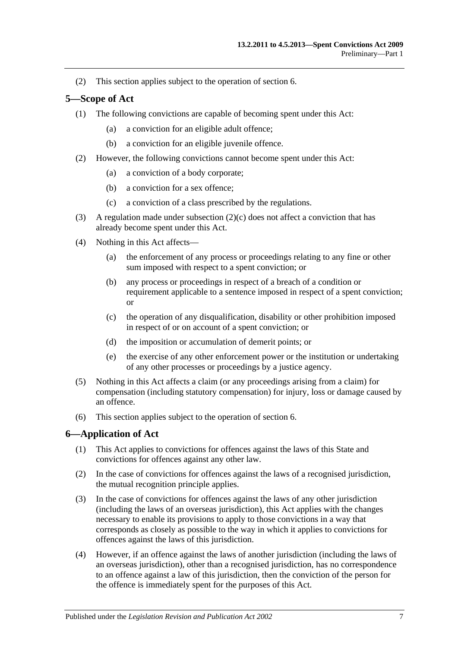(2) This section applies subject to the operation of [section](#page-6-1) 6.

### <span id="page-6-0"></span>**5—Scope of Act**

- (1) The following convictions are capable of becoming spent under this Act:
	- (a) a conviction for an eligible adult offence;
	- (b) a conviction for an eligible juvenile offence.
- (2) However, the following convictions cannot become spent under this Act:
	- (a) a conviction of a body corporate;
	- (b) a conviction for a sex offence;
	- (c) a conviction of a class prescribed by the regulations.
- <span id="page-6-2"></span>(3) A regulation made under [subsection](#page-6-2)  $(2)(c)$  does not affect a conviction that has already become spent under this Act.
- (4) Nothing in this Act affects—
	- (a) the enforcement of any process or proceedings relating to any fine or other sum imposed with respect to a spent conviction; or
	- (b) any process or proceedings in respect of a breach of a condition or requirement applicable to a sentence imposed in respect of a spent conviction; or
	- (c) the operation of any disqualification, disability or other prohibition imposed in respect of or on account of a spent conviction; or
	- (d) the imposition or accumulation of demerit points; or
	- (e) the exercise of any other enforcement power or the institution or undertaking of any other processes or proceedings by a justice agency.
- (5) Nothing in this Act affects a claim (or any proceedings arising from a claim) for compensation (including statutory compensation) for injury, loss or damage caused by an offence.
- (6) This section applies subject to the operation of [section](#page-6-1) 6.

### <span id="page-6-1"></span>**6—Application of Act**

- (1) This Act applies to convictions for offences against the laws of this State and convictions for offences against any other law.
- (2) In the case of convictions for offences against the laws of a recognised jurisdiction, the mutual recognition principle applies.
- (3) In the case of convictions for offences against the laws of any other jurisdiction (including the laws of an overseas jurisdiction), this Act applies with the changes necessary to enable its provisions to apply to those convictions in a way that corresponds as closely as possible to the way in which it applies to convictions for offences against the laws of this jurisdiction.
- (4) However, if an offence against the laws of another jurisdiction (including the laws of an overseas jurisdiction), other than a recognised jurisdiction, has no correspondence to an offence against a law of this jurisdiction, then the conviction of the person for the offence is immediately spent for the purposes of this Act.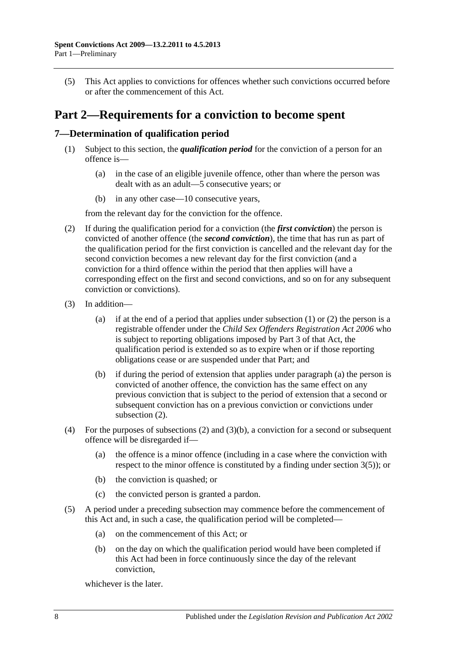(5) This Act applies to convictions for offences whether such convictions occurred before or after the commencement of this Act.

## <span id="page-7-0"></span>**Part 2—Requirements for a conviction to become spent**

### <span id="page-7-2"></span><span id="page-7-1"></span>**7—Determination of qualification period**

- (1) Subject to this section, the *qualification period* for the conviction of a person for an offence is—
	- (a) in the case of an eligible juvenile offence, other than where the person was dealt with as an adult—5 consecutive years; or
	- (b) in any other case—10 consecutive years,

from the relevant day for the conviction for the offence.

- <span id="page-7-3"></span>(2) If during the qualification period for a conviction (the *first conviction*) the person is convicted of another offence (the *second conviction*), the time that has run as part of the qualification period for the first conviction is cancelled and the relevant day for the second conviction becomes a new relevant day for the first conviction (and a conviction for a third offence within the period that then applies will have a corresponding effect on the first and second convictions, and so on for any subsequent conviction or convictions).
- <span id="page-7-4"></span>(3) In addition
	- (a) if at the end of a period that applies under [subsection](#page-7-2)  $(1)$  or  $(2)$  the person is a registrable offender under the *[Child Sex Offenders Registration Act](http://www.legislation.sa.gov.au/index.aspx?action=legref&type=act&legtitle=Child%20Sex%20Offenders%20Registration%20Act%202006) 2006* who is subject to reporting obligations imposed by Part 3 of that Act, the qualification period is extended so as to expire when or if those reporting obligations cease or are suspended under that Part; and
	- (b) if during the period of extension that applies under [paragraph](#page-7-4) (a) the person is convicted of another offence, the conviction has the same effect on any previous conviction that is subject to the period of extension that a second or subsequent conviction has on a previous conviction or convictions under [subsection](#page-7-3) (2).
- <span id="page-7-5"></span>(4) For the purposes of [subsections](#page-7-3) (2) and [\(3\)\(b\),](#page-7-5) a conviction for a second or subsequent offence will be disregarded if—
	- (a) the offence is a minor offence (including in a case where the conviction with respect to the minor offence is constituted by a finding under [section](#page-5-1) 3(5)); or
	- (b) the conviction is quashed; or
	- (c) the convicted person is granted a pardon.
- (5) A period under a preceding subsection may commence before the commencement of this Act and, in such a case, the qualification period will be completed—
	- (a) on the commencement of this Act; or
	- (b) on the day on which the qualification period would have been completed if this Act had been in force continuously since the day of the relevant conviction,

whichever is the later.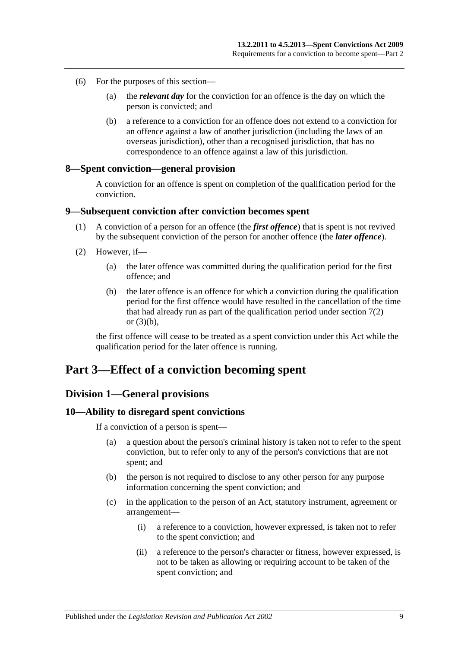- (6) For the purposes of this section—
	- (a) the *relevant day* for the conviction for an offence is the day on which the person is convicted; and
	- (b) a reference to a conviction for an offence does not extend to a conviction for an offence against a law of another jurisdiction (including the laws of an overseas jurisdiction), other than a recognised jurisdiction, that has no correspondence to an offence against a law of this jurisdiction.

### <span id="page-8-0"></span>**8—Spent conviction—general provision**

A conviction for an offence is spent on completion of the qualification period for the conviction.

### <span id="page-8-1"></span>**9—Subsequent conviction after conviction becomes spent**

- (1) A conviction of a person for an offence (the *first offence*) that is spent is not revived by the subsequent conviction of the person for another offence (the *later offence*).
- (2) However, if—
	- (a) the later offence was committed during the qualification period for the first offence; and
	- (b) the later offence is an offence for which a conviction during the qualification period for the first offence would have resulted in the cancellation of the time that had already run as part of the qualification period under [section](#page-7-3)  $7(2)$ or [\(3\)\(b\),](#page-7-5)

the first offence will cease to be treated as a spent conviction under this Act while the qualification period for the later offence is running.

### <span id="page-8-3"></span><span id="page-8-2"></span>**Part 3—Effect of a conviction becoming spent**

### **Division 1—General provisions**

#### <span id="page-8-4"></span>**10—Ability to disregard spent convictions**

If a conviction of a person is spent—

- (a) a question about the person's criminal history is taken not to refer to the spent conviction, but to refer only to any of the person's convictions that are not spent; and
- (b) the person is not required to disclose to any other person for any purpose information concerning the spent conviction; and
- (c) in the application to the person of an Act, statutory instrument, agreement or arrangement—
	- (i) a reference to a conviction, however expressed, is taken not to refer to the spent conviction; and
	- (ii) a reference to the person's character or fitness, however expressed, is not to be taken as allowing or requiring account to be taken of the spent conviction; and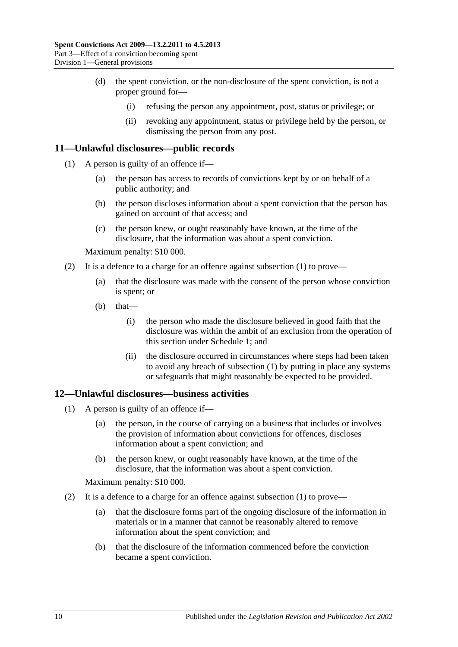- (d) the spent conviction, or the non-disclosure of the spent conviction, is not a proper ground for—
	- (i) refusing the person any appointment, post, status or privilege; or
	- (ii) revoking any appointment, status or privilege held by the person, or dismissing the person from any post.

### <span id="page-9-2"></span><span id="page-9-0"></span>**11—Unlawful disclosures—public records**

- (1) A person is guilty of an offence if—
	- (a) the person has access to records of convictions kept by or on behalf of a public authority; and
	- (b) the person discloses information about a spent conviction that the person has gained on account of that access; and
	- (c) the person knew, or ought reasonably have known, at the time of the disclosure, that the information was about a spent conviction.

Maximum penalty: \$10 000.

- (2) It is a defence to a charge for an offence against [subsection](#page-9-2) (1) to prove—
	- (a) that the disclosure was made with the consent of the person whose conviction is spent; or
	- (b) that—
		- (i) the person who made the disclosure believed in good faith that the disclosure was within the ambit of an exclusion from the operation of this section under [Schedule 1;](#page-10-7) and
		- (ii) the disclosure occurred in circumstances where steps had been taken to avoid any breach of [subsection](#page-9-2) (1) by putting in place any systems or safeguards that might reasonably be expected to be provided.

### <span id="page-9-3"></span><span id="page-9-1"></span>**12—Unlawful disclosures—business activities**

- (1) A person is guilty of an offence if—
	- (a) the person, in the course of carrying on a business that includes or involves the provision of information about convictions for offences, discloses information about a spent conviction; and
	- (b) the person knew, or ought reasonably have known, at the time of the disclosure, that the information was about a spent conviction.

Maximum penalty: \$10 000.

- (2) It is a defence to a charge for an offence against [subsection](#page-9-3) (1) to prove—
	- (a) that the disclosure forms part of the ongoing disclosure of the information in materials or in a manner that cannot be reasonably altered to remove information about the spent conviction; and
	- (b) that the disclosure of the information commenced before the conviction became a spent conviction.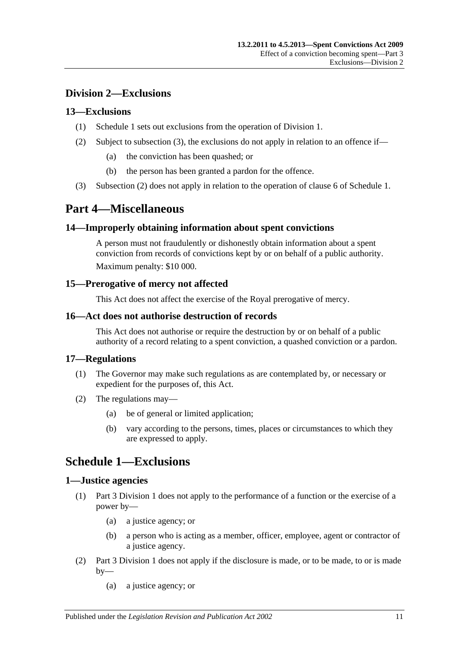### <span id="page-10-0"></span>**Division 2—Exclusions**

### <span id="page-10-1"></span>**13—Exclusions**

- (1) [Schedule 1](#page-10-7) sets out exclusions from the operation of [Division 1.](#page-8-3)
- <span id="page-10-10"></span>(2) Subject to [subsection](#page-10-9) (3), the exclusions do not apply in relation to an offence if—
	- (a) the conviction has been quashed; or
	- (b) the person has been granted a pardon for the offence.
- <span id="page-10-9"></span>(3) [Subsection](#page-10-10) (2) does not apply in relation to the operation of [clause](#page-12-1) 6 of [Schedule 1.](#page-10-7)

## <span id="page-10-2"></span>**Part 4—Miscellaneous**

### <span id="page-10-3"></span>**14—Improperly obtaining information about spent convictions**

A person must not fraudulently or dishonestly obtain information about a spent conviction from records of convictions kept by or on behalf of a public authority. Maximum penalty: \$10 000.

### <span id="page-10-4"></span>**15—Prerogative of mercy not affected**

This Act does not affect the exercise of the Royal prerogative of mercy.

### <span id="page-10-5"></span>**16—Act does not authorise destruction of records**

This Act does not authorise or require the destruction by or on behalf of a public authority of a record relating to a spent conviction, a quashed conviction or a pardon.

### <span id="page-10-6"></span>**17—Regulations**

- (1) The Governor may make such regulations as are contemplated by, or necessary or expedient for the purposes of, this Act.
- (2) The regulations may—
	- (a) be of general or limited application;
	- (b) vary according to the persons, times, places or circumstances to which they are expressed to apply.

## <span id="page-10-7"></span>**Schedule 1—Exclusions**

### <span id="page-10-8"></span>**1—Justice agencies**

- (1) [Part 3 Division 1](#page-8-3) does not apply to the performance of a function or the exercise of a power by—
	- (a) a justice agency; or
	- (b) a person who is acting as a member, officer, employee, agent or contractor of a justice agency.
- (2) [Part 3 Division 1](#page-8-3) does not apply if the disclosure is made, or to be made, to or is made  $by-$ 
	- (a) a justice agency; or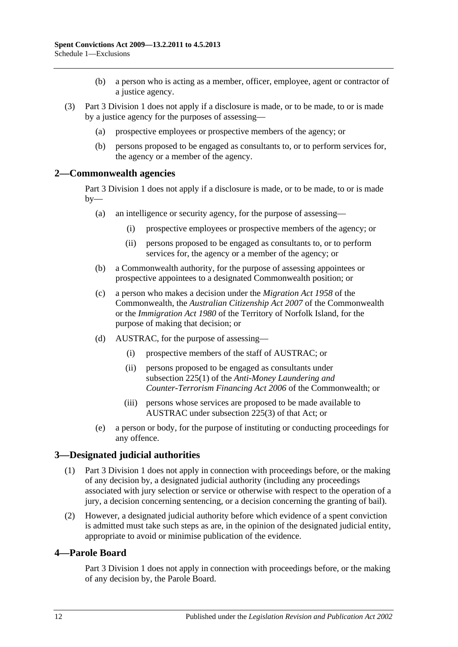- (b) a person who is acting as a member, officer, employee, agent or contractor of a justice agency.
- (3) [Part 3 Division 1](#page-8-3) does not apply if a disclosure is made, or to be made, to or is made by a justice agency for the purposes of assessing—
	- (a) prospective employees or prospective members of the agency; or
	- (b) persons proposed to be engaged as consultants to, or to perform services for, the agency or a member of the agency.

### <span id="page-11-0"></span>**2—Commonwealth agencies**

[Part 3 Division 1](#page-8-3) does not apply if a disclosure is made, or to be made, to or is made by—

- (a) an intelligence or security agency, for the purpose of assessing—
	- (i) prospective employees or prospective members of the agency; or
	- (ii) persons proposed to be engaged as consultants to, or to perform services for, the agency or a member of the agency; or
- (b) a Commonwealth authority, for the purpose of assessing appointees or prospective appointees to a designated Commonwealth position; or
- (c) a person who makes a decision under the *Migration Act 1958* of the Commonwealth, the *Australian Citizenship Act 2007* of the Commonwealth or the *Immigration Act 1980* of the Territory of Norfolk Island, for the purpose of making that decision; or
- (d) AUSTRAC, for the purpose of assessing—
	- (i) prospective members of the staff of AUSTRAC; or
	- (ii) persons proposed to be engaged as consultants under subsection 225(1) of the *Anti-Money Laundering and Counter-Terrorism Financing Act 2006* of the Commonwealth; or
	- (iii) persons whose services are proposed to be made available to AUSTRAC under subsection 225(3) of that Act; or
- (e) a person or body, for the purpose of instituting or conducting proceedings for any offence.

### <span id="page-11-1"></span>**3—Designated judicial authorities**

- (1) [Part 3 Division 1](#page-8-3) does not apply in connection with proceedings before, or the making of any decision by, a designated judicial authority (including any proceedings associated with jury selection or service or otherwise with respect to the operation of a jury, a decision concerning sentencing, or a decision concerning the granting of bail).
- (2) However, a designated judicial authority before which evidence of a spent conviction is admitted must take such steps as are, in the opinion of the designated judicial entity, appropriate to avoid or minimise publication of the evidence.

### <span id="page-11-2"></span>**4—Parole Board**

[Part 3 Division 1](#page-8-3) does not apply in connection with proceedings before, or the making of any decision by, the Parole Board.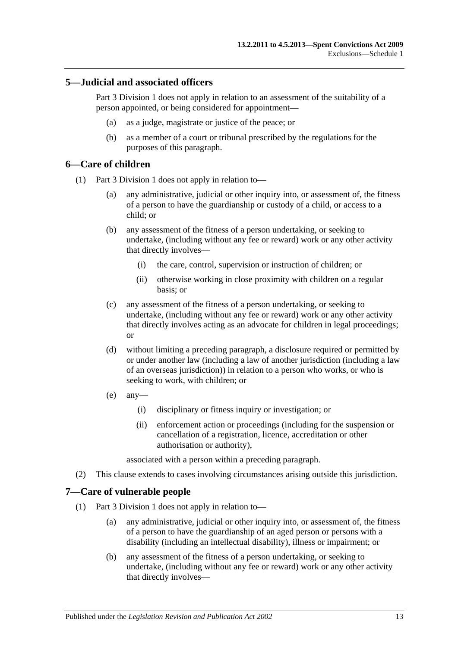### <span id="page-12-0"></span>**5—Judicial and associated officers**

[Part 3 Division 1](#page-8-3) does not apply in relation to an assessment of the suitability of a person appointed, or being considered for appointment—

- (a) as a judge, magistrate or justice of the peace; or
- (b) as a member of a court or tribunal prescribed by the regulations for the purposes of this paragraph.

### <span id="page-12-1"></span>**6—Care of children**

- (1) [Part 3 Division 1](#page-8-3) does not apply in relation to—
	- (a) any administrative, judicial or other inquiry into, or assessment of, the fitness of a person to have the guardianship or custody of a child, or access to a child; or
	- (b) any assessment of the fitness of a person undertaking, or seeking to undertake, (including without any fee or reward) work or any other activity that directly involves—
		- (i) the care, control, supervision or instruction of children; or
		- (ii) otherwise working in close proximity with children on a regular basis; or
	- (c) any assessment of the fitness of a person undertaking, or seeking to undertake, (including without any fee or reward) work or any other activity that directly involves acting as an advocate for children in legal proceedings; or
	- (d) without limiting a preceding paragraph, a disclosure required or permitted by or under another law (including a law of another jurisdiction (including a law of an overseas jurisdiction)) in relation to a person who works, or who is seeking to work, with children; or
	- (e) any—
		- (i) disciplinary or fitness inquiry or investigation; or
		- (ii) enforcement action or proceedings (including for the suspension or cancellation of a registration, licence, accreditation or other authorisation or authority),

associated with a person within a preceding paragraph.

(2) This clause extends to cases involving circumstances arising outside this jurisdiction.

### <span id="page-12-2"></span>**7—Care of vulnerable people**

- (1) [Part 3 Division 1](#page-8-3) does not apply in relation to—
	- (a) any administrative, judicial or other inquiry into, or assessment of, the fitness of a person to have the guardianship of an aged person or persons with a disability (including an intellectual disability), illness or impairment; or
	- (b) any assessment of the fitness of a person undertaking, or seeking to undertake, (including without any fee or reward) work or any other activity that directly involves—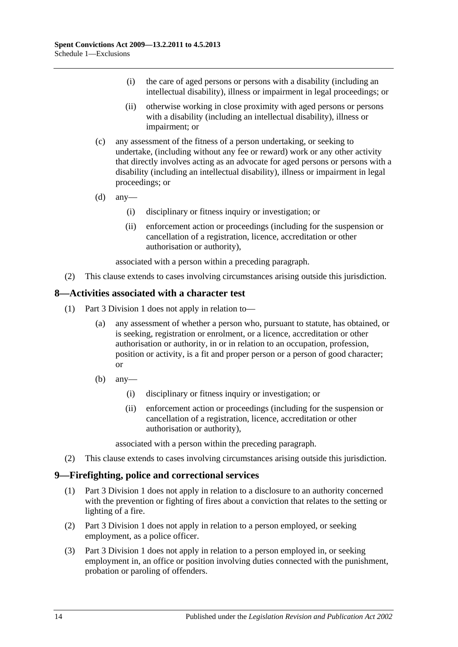- (i) the care of aged persons or persons with a disability (including an intellectual disability), illness or impairment in legal proceedings; or
- (ii) otherwise working in close proximity with aged persons or persons with a disability (including an intellectual disability), illness or impairment; or
- (c) any assessment of the fitness of a person undertaking, or seeking to undertake, (including without any fee or reward) work or any other activity that directly involves acting as an advocate for aged persons or persons with a disability (including an intellectual disability), illness or impairment in legal proceedings; or
- $(d)$  any—
	- (i) disciplinary or fitness inquiry or investigation; or
	- (ii) enforcement action or proceedings (including for the suspension or cancellation of a registration, licence, accreditation or other authorisation or authority),

associated with a person within a preceding paragraph.

(2) This clause extends to cases involving circumstances arising outside this jurisdiction.

### <span id="page-13-0"></span>**8—Activities associated with a character test**

- (1) [Part 3 Division 1](#page-8-3) does not apply in relation to—
	- (a) any assessment of whether a person who, pursuant to statute, has obtained, or is seeking, registration or enrolment, or a licence, accreditation or other authorisation or authority, in or in relation to an occupation, profession, position or activity, is a fit and proper person or a person of good character; or
	- $(b)$  any—
		- (i) disciplinary or fitness inquiry or investigation; or
		- (ii) enforcement action or proceedings (including for the suspension or cancellation of a registration, licence, accreditation or other authorisation or authority),

associated with a person within the preceding paragraph.

(2) This clause extends to cases involving circumstances arising outside this jurisdiction.

### <span id="page-13-1"></span>**9—Firefighting, police and correctional services**

- (1) [Part 3 Division 1](#page-8-3) does not apply in relation to a disclosure to an authority concerned with the prevention or fighting of fires about a conviction that relates to the setting or lighting of a fire.
- (2) [Part 3 Division 1](#page-8-3) does not apply in relation to a person employed, or seeking employment, as a police officer.
- (3) [Part 3 Division 1](#page-8-3) does not apply in relation to a person employed in, or seeking employment in, an office or position involving duties connected with the punishment, probation or paroling of offenders.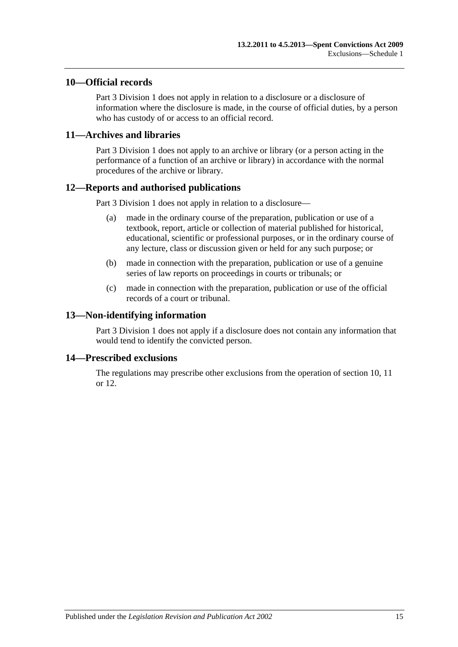### <span id="page-14-0"></span>**10—Official records**

[Part 3 Division 1](#page-8-3) does not apply in relation to a disclosure or a disclosure of information where the disclosure is made, in the course of official duties, by a person who has custody of or access to an official record.

### <span id="page-14-1"></span>**11—Archives and libraries**

[Part 3 Division 1](#page-8-3) does not apply to an archive or library (or a person acting in the performance of a function of an archive or library) in accordance with the normal procedures of the archive or library.

### <span id="page-14-2"></span>**12—Reports and authorised publications**

[Part 3 Division 1](#page-8-3) does not apply in relation to a disclosure—

- (a) made in the ordinary course of the preparation, publication or use of a textbook, report, article or collection of material published for historical, educational, scientific or professional purposes, or in the ordinary course of any lecture, class or discussion given or held for any such purpose; or
- (b) made in connection with the preparation, publication or use of a genuine series of law reports on proceedings in courts or tribunals; or
- (c) made in connection with the preparation, publication or use of the official records of a court or tribunal.

### <span id="page-14-3"></span>**13—Non-identifying information**

[Part 3 Division 1](#page-8-3) does not apply if a disclosure does not contain any information that would tend to identify the convicted person.

### <span id="page-14-4"></span>**14—Prescribed exclusions**

The regulations may prescribe other exclusions from the operation of [section](#page-8-4) 10, [11](#page-9-0) or [12.](#page-14-2)